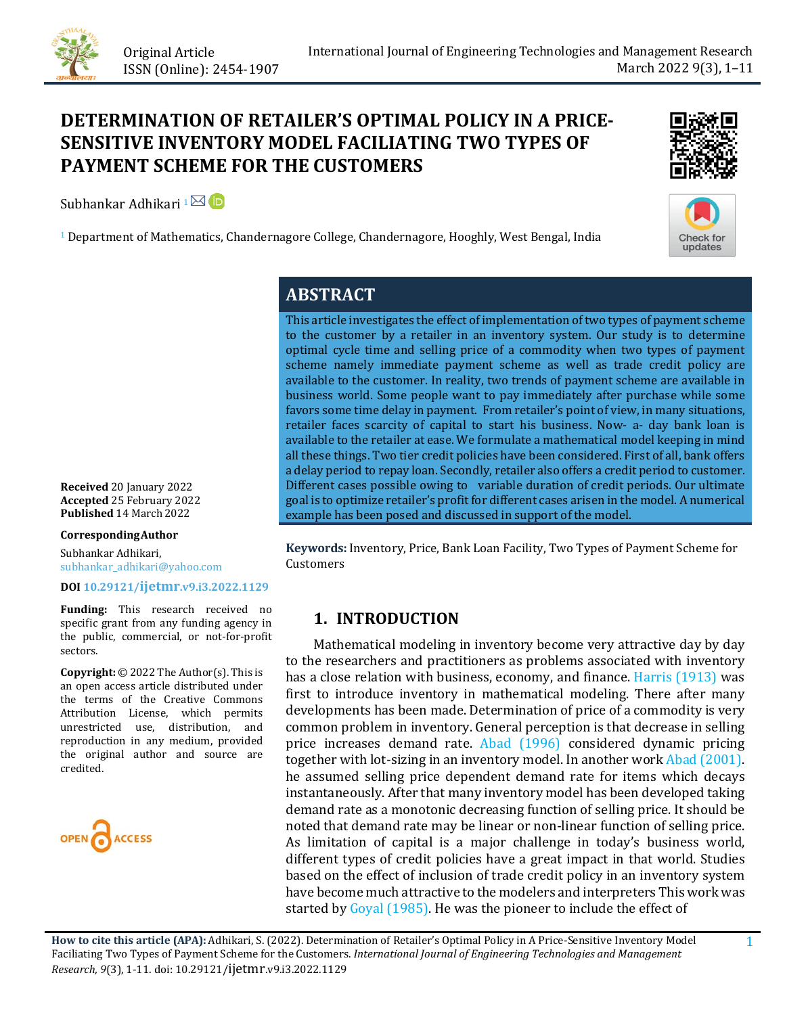

# **DETERMINATION OF RETAILER'S OPTIMAL POLICY IN A PRICE-SENSITIVE INVENTORY MODEL FACILIATING TWO TYPES OF PAYMENT SCHEME FOR THE CUSTOMERS**

Subhankar Adhikari 1<sup> $\boxtimes$ </sup>



Check for updates

<sup>1</sup> Department of Mathematics, Chandernagore College, Chandernagore, Hooghly, West Bengal, India

# **ABSTRACT**

This article investigates the effect of implementation of two types of payment scheme to the customer by a retailer in an inventory system. Our study is to determine optimal cycle time and selling price of a commodity when two types of payment scheme namely immediate payment scheme as well as trade credit policy are available to the customer. In reality, two trends of payment scheme are available in business world. Some people want to pay immediately after purchase while some favors some time delay in payment. From retailer's point of view, in many situations, retailer faces scarcity of capital to start his business. Now- a- day bank loan is available to the retailer at ease. We formulate a mathematical model keeping in mind all these things. Two tier credit policies have been considered. First of all, bank offers a delay period to repay loan. Secondly, retailer also offers a credit period to customer. Different cases possible owing to variable duration of credit periods. Our ultimate goal is to optimize retailer's profit for different cases arisen in the model. A numerical example has been posed and discussed in support of the model.

**Keywords:** Inventory, Price, Bank Loan Facility, Two Types of Payment Scheme for Customers

# **1. INTRODUCTION**

 Mathematical modeling in inventory become very attractive day by day to the researchers and practitioners as problems associated with inventory has a close relation with business, economy, and finance. [Harris \(1913\)](#page-10-0) was first to introduce inventory in mathematical modeling. There after many developments has been made. Determination of price of a commodity is very common problem in inventory. General perception is that decrease in selling price increases demand rate. [Abad \(1996\)](#page-9-0) considered dynamic pricing together with lot-sizing in an inventory model. In another wor[k Abad \(2001\).](#page-9-1) he assumed selling price dependent demand rate for items which decays instantaneously. After that many inventory model has been developed taking demand rate as a monotonic decreasing function of selling price. It should be noted that demand rate may be linear or non-linear function of selling price. As limitation of capital is a major challenge in today's business world, different types of credit policies have a great impact in that world. Studies based on the effect of inclusion of trade credit policy in an inventory system have become much attractive to the modelers and interpreters This work was started by [Goyal \(1985\).](#page-10-1) He was the pioneer to include the effect of

**Received** 20 January 2022 **Accepted** 25 February 2022 Published 14 March 2022

#### **CorrespondingAuthor**

Subhankar Adhikari, subhankar\_adhikari@yahoo.com

#### **DOI [10.29121/ijetmr.v9.i3.2022.1129](https://dx.doi.org/10.29121/ijetmr.v9.i3.2022.1129)**

**Funding:** This research received no specific grant from any funding agency in the public, commercial, or not-for-profit sectors.

**Copyright:** © 2022 The Author(s). This is an open access article distributed under the terms of the Creative Commons Attribution License, which permits unrestricted use, distribution, and reproduction in any medium, provided the original author and source are credited.

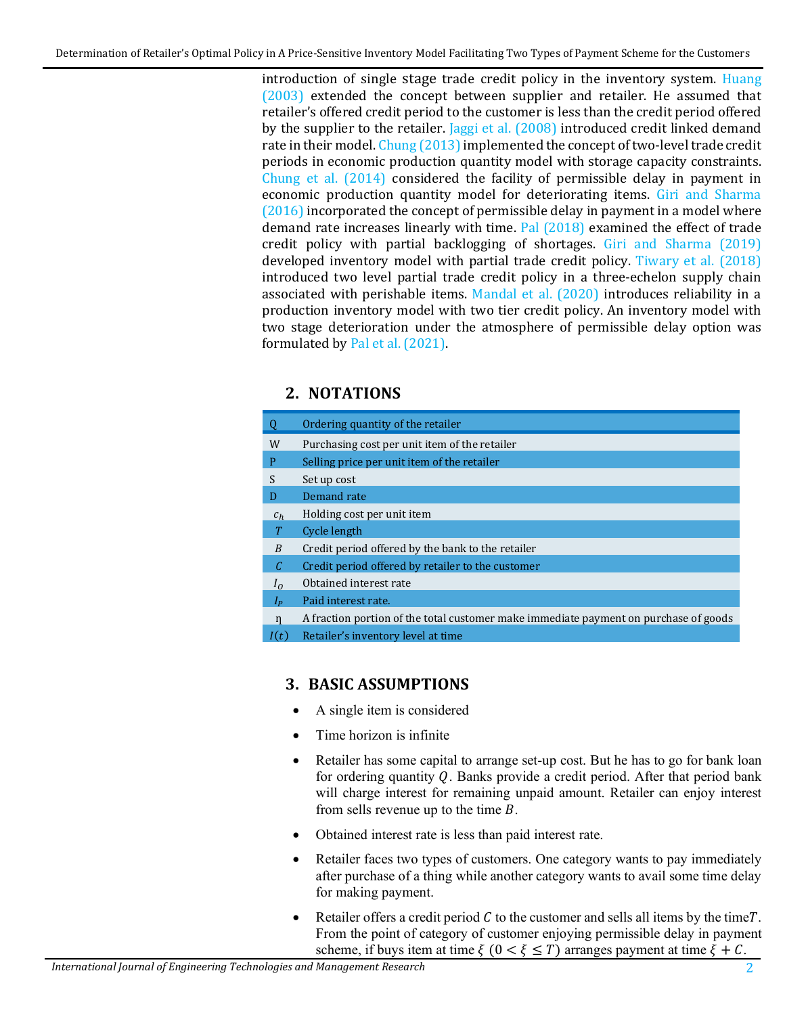introduction of single stage trade credit policy in the inventory system. [Huang](#page-10-2)  [\(2003\)](#page-10-2) extended the concept between supplier and retailer. He assumed that retailer's offered credit period to the customer is less than the credit period offered by the supplier to the retailer. [Jaggi et al. \(2008\)](#page-10-3) introduced credit linked demand rate in their model. Chung (2013) implemented the concept of two-level trade credit periods in economic production quantity model with storage capacity constraints. [Chung et al. \(2014\)](#page-9-3) considered the facility of permissible delay in payment in economic production quantity model for deteriorating items. [Giri and Sharma](#page-9-4)  [\(2016\)](#page-9-4) incorporated the concept of permissible delay in payment in a model where demand rate increases linearly with time. [Pal \(2018\)](#page-10-4) examined the effect of trade credit policy with partial backlogging of shortages. [Giri and Sharma \(2019\)](#page-10-5) developed inventory model with partial trade credit policy. [Tiwary et al. \(2018\)](#page-10-6) introduced two level partial trade credit policy in a three-echelon supply chain associated with perishable items. [Mandal et al. \(2020\)](#page-10-7) introduces reliability in a production inventory model with two tier credit policy. An inventory model with two stage deterioration under the atmosphere of permissible delay option was formulated b[y Pal et al. \(2021\).](#page-10-8) 

# **2. NOTATIONS**

| Q              | Ordering quantity of the retailer                                                    |
|----------------|--------------------------------------------------------------------------------------|
| W              | Purchasing cost per unit item of the retailer                                        |
| P              | Selling price per unit item of the retailer                                          |
| S              | Set up cost                                                                          |
| D              | Demand rate                                                                          |
| $c_h$          | Holding cost per unit item                                                           |
| T              | Cycle length                                                                         |
| B              | Credit period offered by the bank to the retailer                                    |
| C              | Credit period offered by retailer to the customer                                    |
| $I_{\Omega}$   | Obtained interest rate                                                               |
| I <sub>p</sub> | Paid interest rate.                                                                  |
| $\mathbf n$    | A fraction portion of the total customer make immediate payment on purchase of goods |
| I(t)           | Retailer's inventory level at time                                                   |

# **3. BASIC ASSUMPTIONS**

- A single item is considered
- Time horizon is infinite
- Retailer has some capital to arrange set-up cost. But he has to go for bank loan for ordering quantity  $Q$ . Banks provide a credit period. After that period bank will charge interest for remaining unpaid amount. Retailer can enjoy interest from sells revenue up to the time  $B$ .
- Obtained interest rate is less than paid interest rate.
- Retailer faces two types of customers. One category wants to pay immediately after purchase of a thing while another category wants to avail some time delay for making payment.
- Retailer offers a credit period  $C$  to the customer and sells all items by the time. From the point of category of customer enjoying permissible delay in payment scheme, if buys item at time  $\xi$  ( $0 < \xi \leq T$ ) arranges payment at time  $\xi + C$ .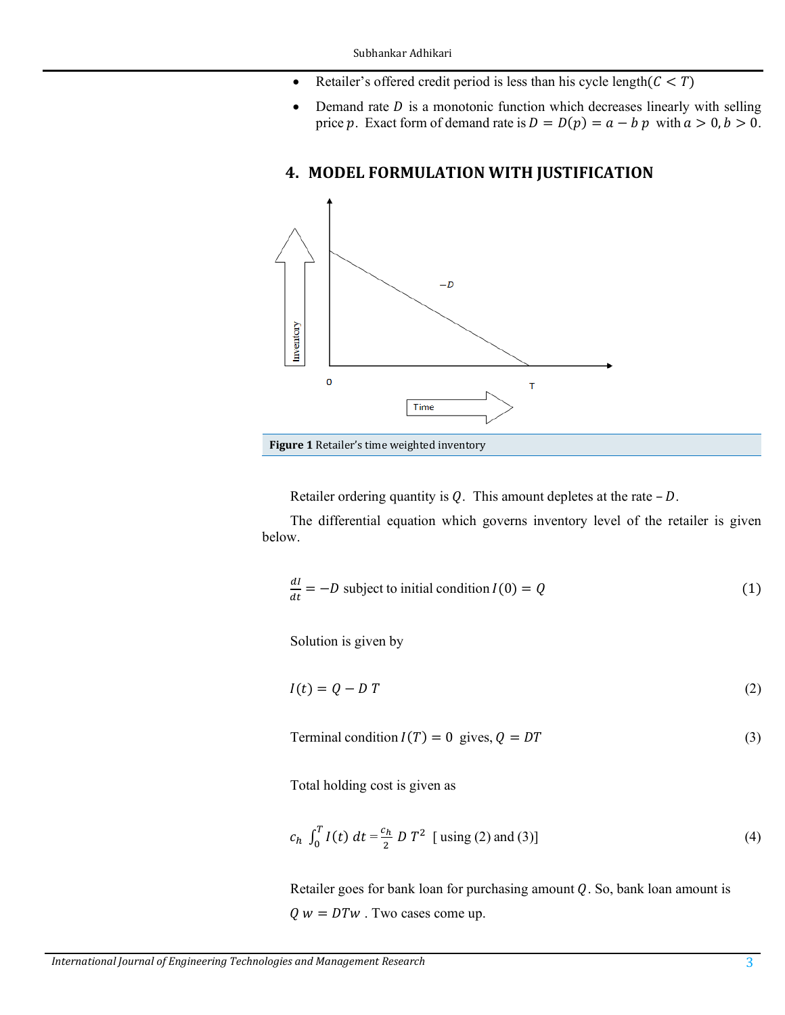- Retailer's offered credit period is less than his cycle length( $C < T$ )
- Demand rate  $D$  is a monotonic function which decreases linearly with selling price p. Exact form of demand rate is  $D = D(p) = a - b p$  with  $a > 0, b > 0$ .

# **4. MODEL FORMULATION WITH JUSTIFICATION**



Retailer ordering quantity is  $Q$ . This amount depletes at the rate  $-D$ .

The differential equation which governs inventory level of the retailer is given below.

$$
\frac{dI}{dt} = -D \text{ subject to initial condition } I(0) = Q \tag{1}
$$

Solution is given by

$$
I(t) = Q - DT \tag{2}
$$

Terminal condition  $I(T) = 0$  gives,  $Q = DT$  (3)

Total holding cost is given as

$$
c_h \int_0^T I(t) \, dt = \frac{c_h}{2} \, D \, T^2 \, \left[ \text{ using (2) and (3)} \right] \tag{4}
$$

Retailer goes for bank loan for purchasing amount  $Q$ . So, bank loan amount is  $Q w = DTw$ . Two cases come up.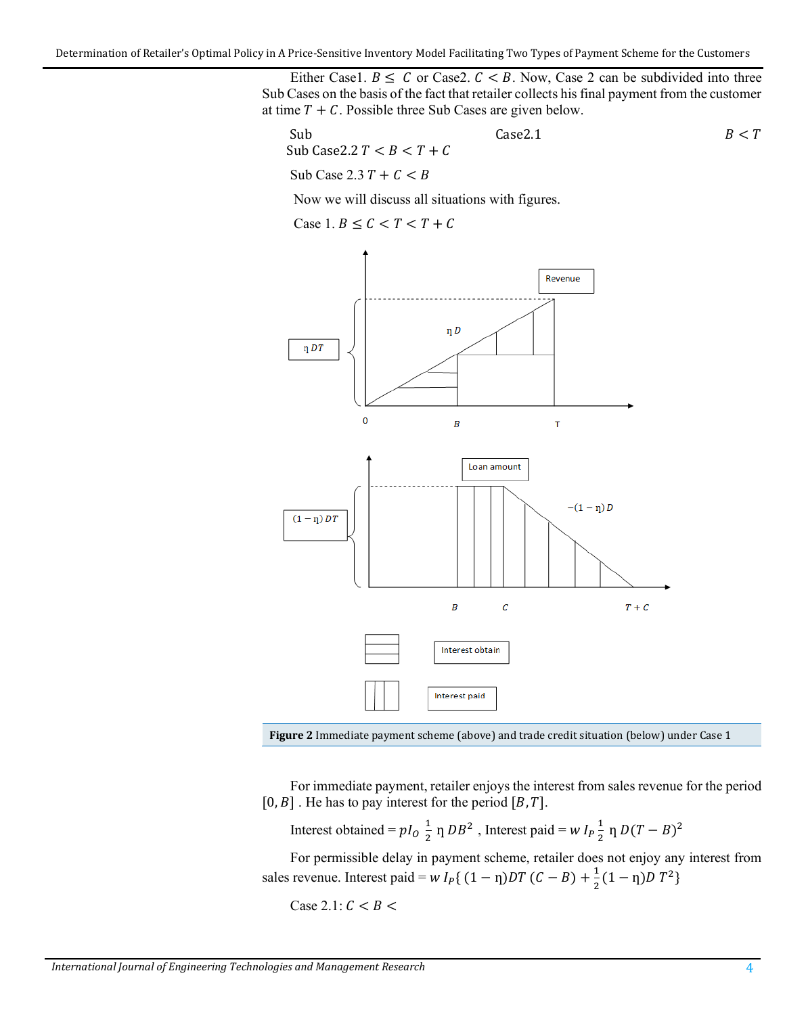Either Case1.  $B \leq C$  or Case2.  $C < B$ . Now, Case 2 can be subdivided into three Sub Cases on the basis of the fact that retailer collects his final payment from the customer at time  $T + C$ . Possible three Sub Cases are given below.

| Sub                          | Case2.1 | $B < T$ |       |
|------------------------------|---------|---------|-------|
| Sub Case 2.2 $T < B < T + C$ | $B < T$ |         |       |
| Sub Case 2.3 $T + C < B$     | 11.11   | 12.11   | 13.11 |

Now we will discuss all situations with figures.

Case 1.  $B \leq C < T < T + C$ 





For immediate payment, retailer enjoys the interest from sales revenue for the period  $[0, B]$ . He has to pay interest for the period  $[B, T]$ .

Interest obtained =  $pI_0 \frac{1}{2} \eta DB^2$ , Interest paid =  $w I_p \frac{1}{2} \eta D(T - B)^2$ 

For permissible delay in payment scheme, retailer does not enjoy any interest from sales revenue. Interest paid =  $w I_P\{(1 - \eta)DT (C - B) + \frac{1}{2}(1 - \eta)DT^2\}$ 

Case 2.1:  $C < B <$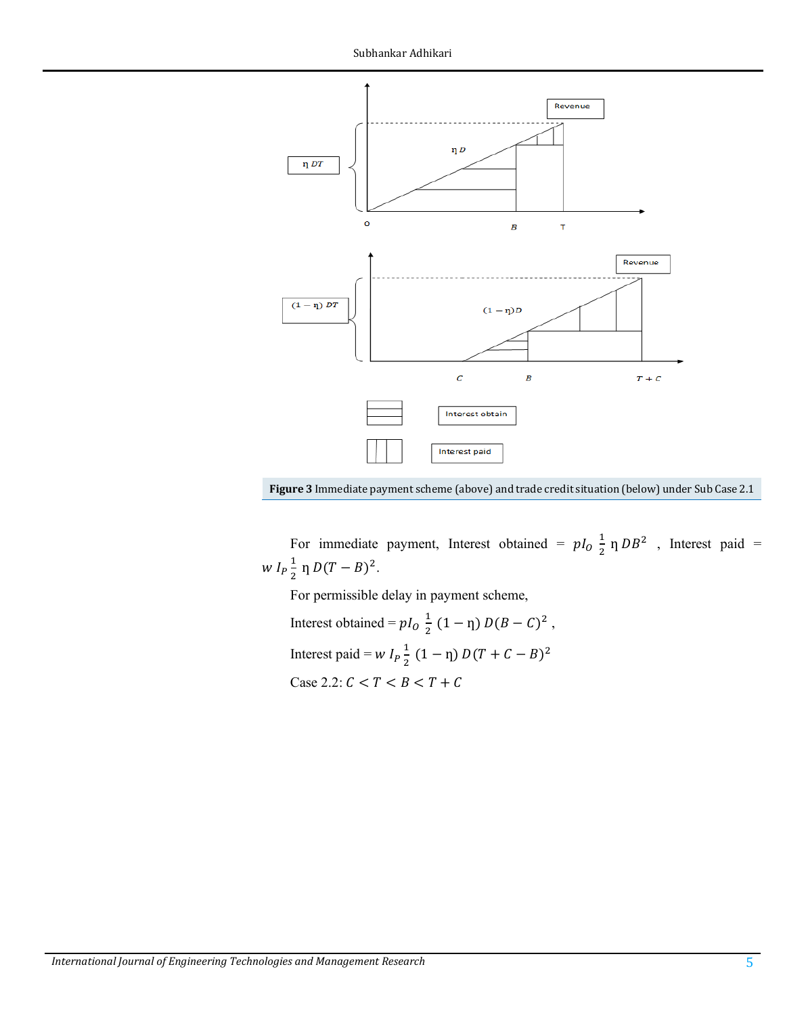

**Figure 3** Immediate payment scheme (above) and trade credit situation (below) under Sub Case 2.1

For immediate payment, Interest obtained =  $pI_0 \frac{1}{2} \eta DB^2$  , Interest paid =  $w I_P \frac{1}{2} \eta D(T - B)^2$ .

For permissible delay in payment scheme,

Interest obtained =  $pI_0 \frac{1}{2} (1 - \eta) D(B - C)^2$ , Interest paid =  $W I_p \frac{1}{2}$  $\frac{1}{2}(1-\eta) D(T+C-B)^2$ Case 2.2:  $C < T < B < T + C$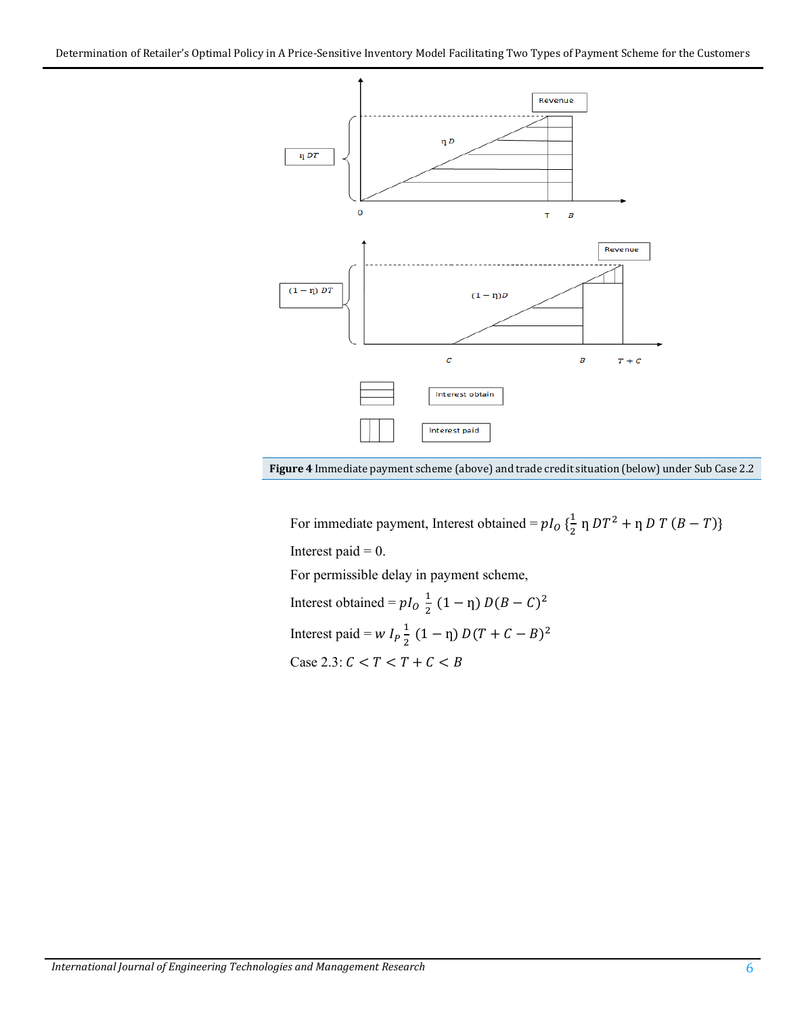



For immediate payment, Interest obtained =  $pI_0$  { $\frac{1}{2}$  n  $DT^2$  + n  $DT$  ( $B - T$ )} Interest paid  $= 0$ . For permissible delay in payment scheme, Interest obtained =  $pI_0 \frac{1}{2} (1 - \eta) D(B - C)^2$ Interest paid =  $W I_p \frac{1}{2}$  $\frac{1}{2}(1-\eta) D(T+C-B)^2$ Case 2.3:  $C < T < T + C < B$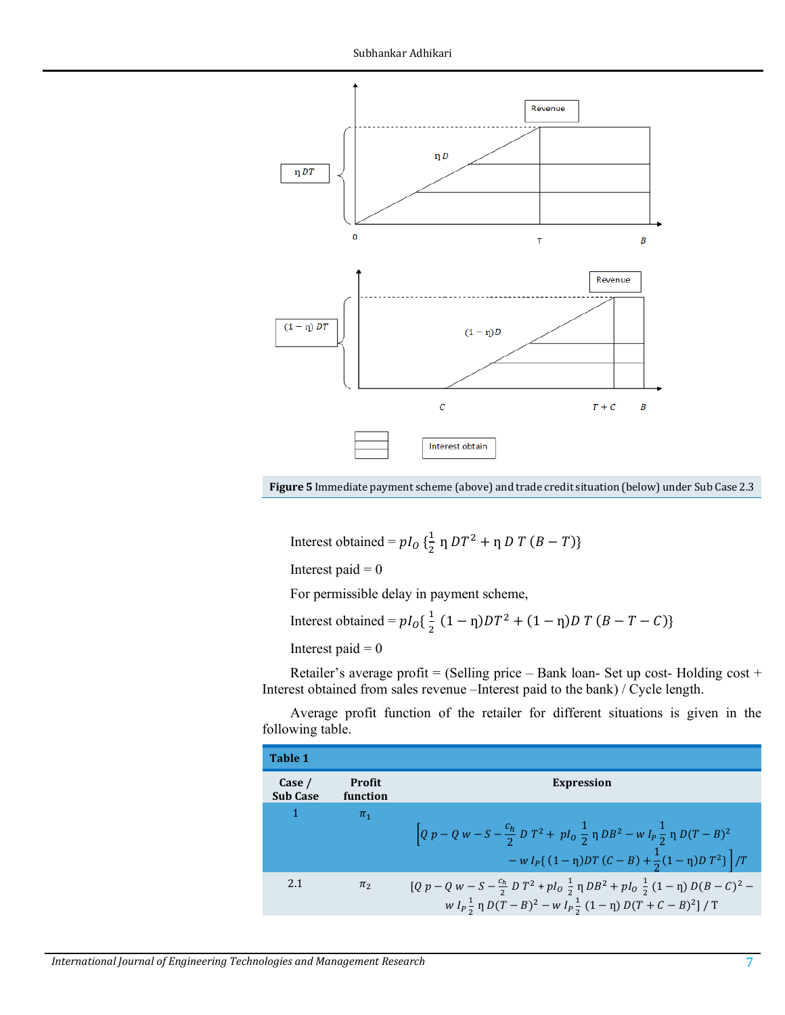

**Figure 5** Immediate payment scheme (above) and trade credit situation (below) under Sub Case 2.3

Interest obtained =  $p l_0 \left\{ \frac{1}{2} \eta D T^2 + \eta D T (B - T) \right\}$ 

Interest paid  $= 0$ 

For permissible delay in payment scheme,

Interest obtained = 
$$
pI_0\{\frac{1}{2}(1-\eta)DT^2 + (1-\eta)DT(B-T-C)\}
$$

Interest paid  $= 0$ 

Retailer's average profit = (Selling price – Bank loan- Set up cost- Holding cost + Interest obtained from sales revenue –Interest paid to the bank) / Cycle length.

Average profit function of the retailer for different situations is given in the following table.

| Table 1                   |                    |                                                                                                                                                                                                     |
|---------------------------|--------------------|-----------------------------------------------------------------------------------------------------------------------------------------------------------------------------------------------------|
| Case /<br><b>Sub Case</b> | Profit<br>function | <b>Expression</b>                                                                                                                                                                                   |
|                           | $\pi_1$            | $\left[Q p - Q w - S - \frac{c_h}{2} D T^2 + p I_0 \frac{1}{2} \eta D B^2 - w I_p \frac{1}{2} \eta D (T - B)^2\right]$<br>$-w I_P$ { $(1 - \eta)DT(C - B) + \frac{1}{2}(1 - \eta)DT^2$ }   $/T$     |
| 2.1                       | $\pi$ <sub>2</sub> | $[Q p - Q w - S - \frac{c_h}{2} D T^2 + p I_0 \frac{1}{2} \eta D B^2 + p I_0 \frac{1}{2} (1 - \eta) D (B - C)^2 -$<br>$W I_p \frac{1}{2} \eta D(T-B)^2 - W I_p \frac{1}{2} (1-\eta) D(T+C-B)^2$ / T |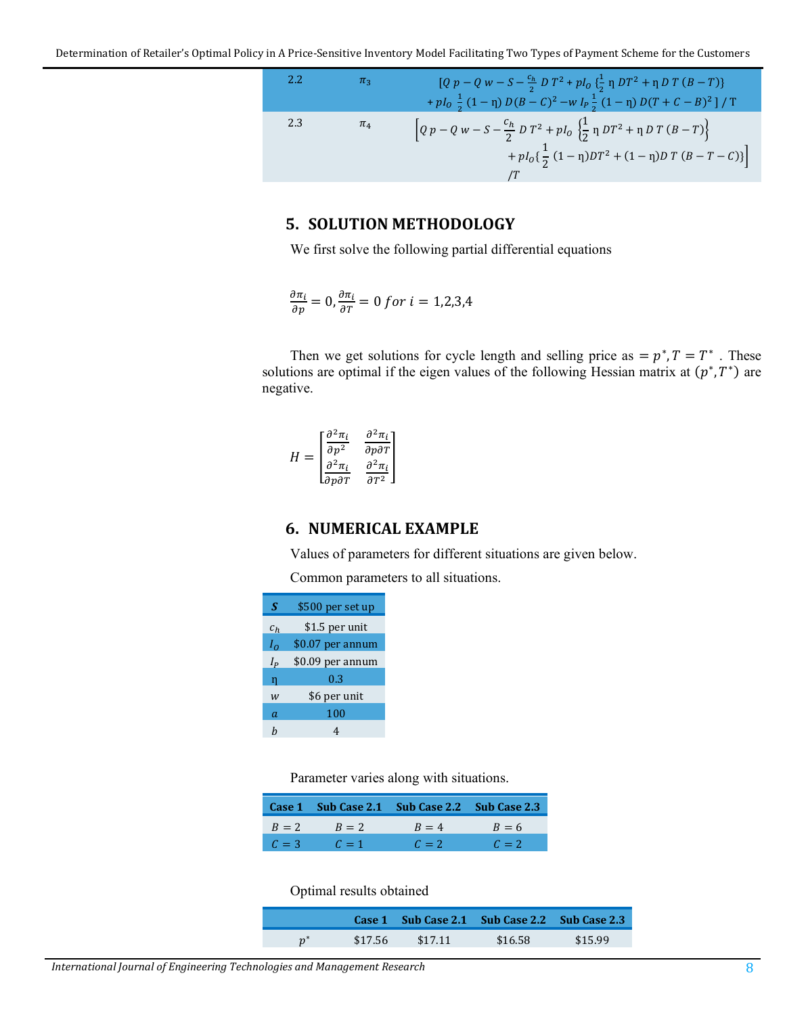2.2 
$$
\pi_3
$$
 
$$
[Q p - Q w - S - \frac{c_h}{2} D T^2 + p I_0 \left\{ \frac{1}{2} \eta D T^2 + \eta D T (B - T) \right\} + p I_0 \frac{1}{2} (1 - \eta) D (B - C)^2 - w I_p \frac{1}{2} (1 - \eta) D (T + C - B)^2 ] / T
$$
  
2.3  $\pi_4$  
$$
[Q p - Q w - S - \frac{c_h}{2} D T^2 + p I_0 \left\{ \frac{1}{2} \eta D T^2 + \eta D T (B - T) \right\} + p I_0 \left\{ \frac{1}{2} (1 - \eta) D T^2 + (1 - \eta) D T (B - T - C) \right\} ]/T
$$

#### **5. SOLUTION METHODOLOGY**

We first solve the following partial differential equations

$$
\frac{\partial \pi_i}{\partial p} = 0, \frac{\partial \pi_i}{\partial T} = 0 \text{ for } i = 1, 2, 3, 4
$$

Then we get solutions for cycle length and selling price as  $= p^*$ ,  $T = T^*$ . These solutions are optimal if the eigen values of the following Hessian matrix at  $(p^*, T^*)$  are negative.

$$
H = \begin{bmatrix} \frac{\partial^2 \pi_i}{\partial p^2} & \frac{\partial^2 \pi_i}{\partial p \partial T} \\ \frac{\partial^2 \pi_i}{\partial p \partial T} & \frac{\partial^2 \pi_i}{\partial T^2} \end{bmatrix}
$$

#### **6. NUMERICAL EXAMPLE**

Values of parameters for different situations are given below.

Common parameters to all situations.

| S              | \$500 per set up |  |  |  |
|----------------|------------------|--|--|--|
| $c_h$          | \$1.5 per unit   |  |  |  |
| $I_{\Omega}$   | \$0.07 per annum |  |  |  |
| $I_P$          | \$0.09 per annum |  |  |  |
| ŋ              | 0.3              |  |  |  |
| W              | \$6 per unit     |  |  |  |
| $\mathfrak{a}$ | 100              |  |  |  |
| h              |                  |  |  |  |

Parameter varies along with situations.

|       |         | Case 1 Sub Case 2.1 Sub Case 2.2 Sub Case 2.3 |       |
|-------|---------|-----------------------------------------------|-------|
| $B=2$ | $B = 2$ | $R = 4$                                       | $B=6$ |
| $C=3$ | $C=1$   | $C=2$                                         | $C=2$ |

Optimal results obtained

|       |         |           | Case 1 Sub Case 2.1 Sub Case 2.2 Sub Case 2.3 |         |
|-------|---------|-----------|-----------------------------------------------|---------|
| $n^*$ | \$17.56 | $\$17.11$ | \$16.58                                       | \$15.99 |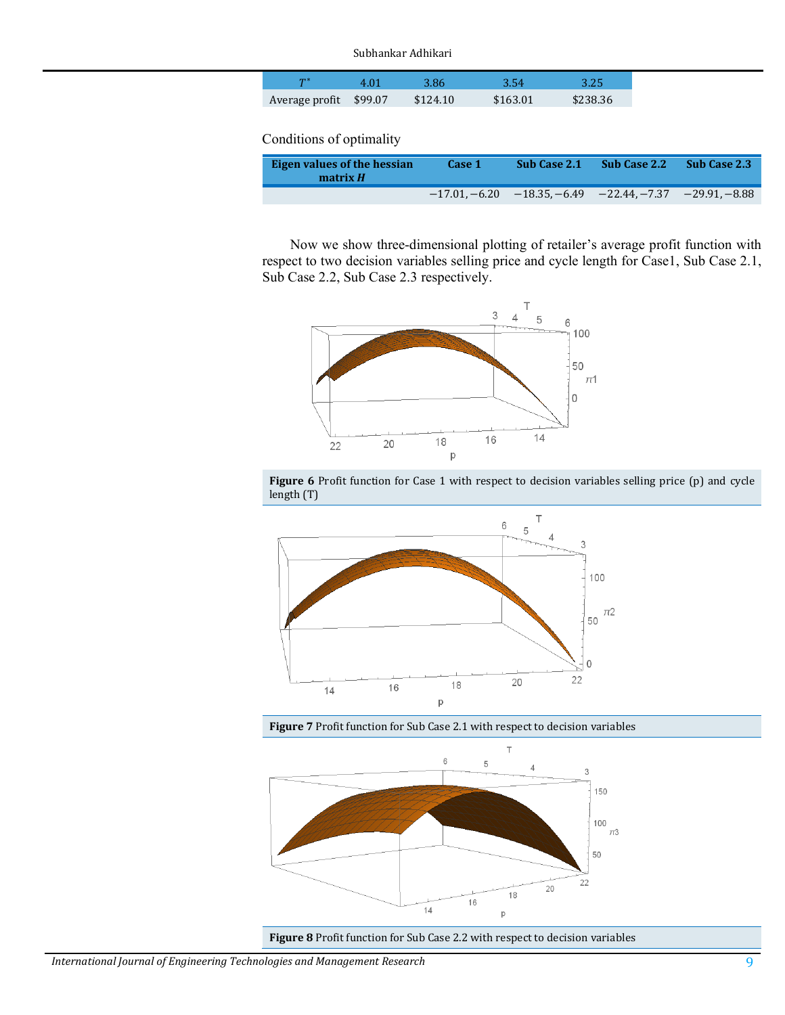#### Subhankar Adhikari

| ጥ *                    | 8.86     | 3.54     | 3.25     |
|------------------------|----------|----------|----------|
| Average profit \$99.07 | \$124.10 | \$163.01 | \$238.36 |

Conditions of optimality

| Eigen values of the hessian<br>matrix $H$ | Case 1 | <b>Sub Case 2.1</b>                                             | <b>Sub Case 2.2</b> | Sub Case 2.3 |
|-------------------------------------------|--------|-----------------------------------------------------------------|---------------------|--------------|
|                                           |        | $-17.01, -6.20$ $-18.35, -6.49$ $-22.44, -7.37$ $-29.91, -8.88$ |                     |              |

Now we show three-dimensional plotting of retailer's average profit function with respect to two decision variables selling price and cycle length for Case1, Sub Case 2.1, Sub Case 2.2, Sub Case 2.3 respectively.







**Figure 7** Profit function for Sub Case 2.1 with respect to decision variables



**Figure 8** Profit function for Sub Case 2.2 with respect to decision variables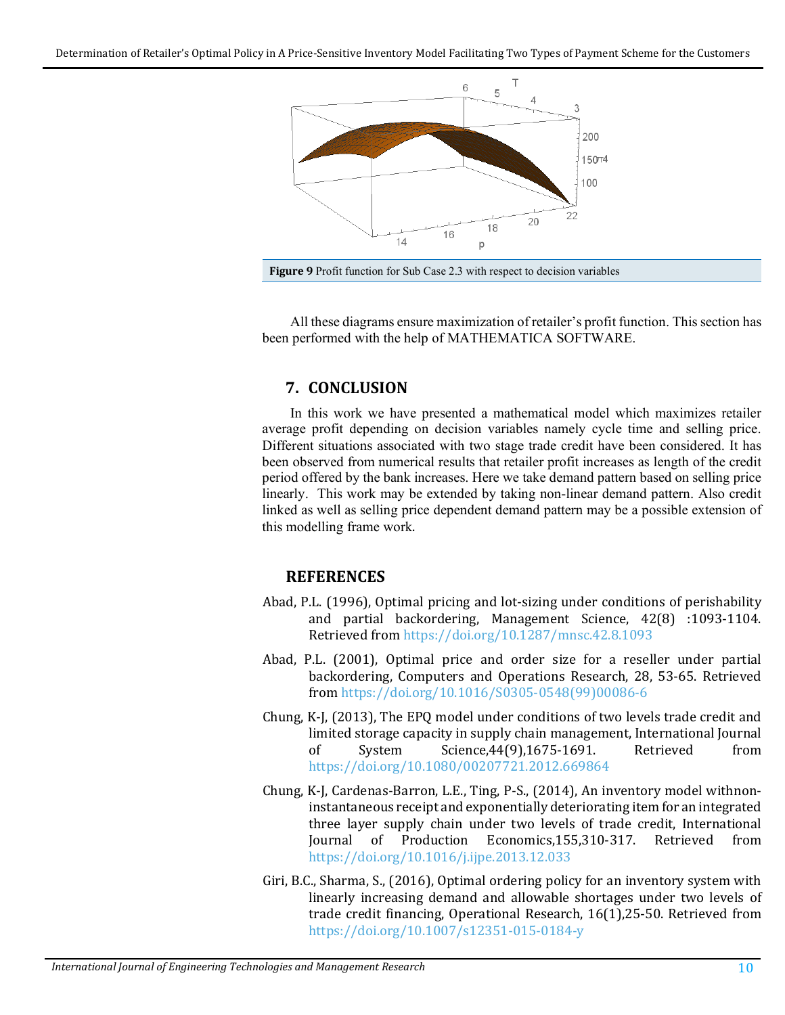

All these diagrams ensure maximization of retailer's profit function. This section has been performed with the help of MATHEMATICA SOFTWARE.

# **7. CONCLUSION**

In this work we have presented a mathematical model which maximizes retailer average profit depending on decision variables namely cycle time and selling price. Different situations associated with two stage trade credit have been considered. It has been observed from numerical results that retailer profit increases as length of the credit period offered by the bank increases. Here we take demand pattern based on selling price linearly. This work may be extended by taking non-linear demand pattern. Also credit linked as well as selling price dependent demand pattern may be a possible extension of this modelling frame work.

# **REFERENCES**

- <span id="page-9-0"></span>Abad, P.L. (1996), Optimal pricing and lot-sizing under conditions of perishability and partial backordering, Management Science, 42(8) :1093-1104. Retrieved from <https://doi.org/10.1287/mnsc.42.8.1093>
- <span id="page-9-1"></span>Abad, P.L. (2001), Optimal price and order size for a reseller under partial backordering, Computers and Operations Research, 28, 53-65. Retrieved from [https://doi.org/10.1016/S0305-0548\(99\)00086-6](https://doi.org/10.1016/S0305-0548(99)00086-6)
- <span id="page-9-2"></span>Chung, K-J, (2013), The EPQ model under conditions of two levels trade credit and limited storage capacity in supply chain management, International Journal<br>of System Science.44(9).1675-1691. Retrieved from Science,44(9),1675-1691. <https://doi.org/10.1080/00207721.2012.669864>
- <span id="page-9-3"></span>Chung, K-J, Cardenas-Barron, L.E., Ting, P-S., (2014), An inventory model withnoninstantaneous receipt and exponentially deteriorating item for an integrated three layer supply chain under two levels of trade credit, International<br>Journal of Production Economics, 155, 310-317. Retrieved from Journal of Production Economics, 155, 310-317. <https://doi.org/10.1016/j.ijpe.2013.12.033>
- <span id="page-9-4"></span>Giri, B.C., Sharma, S., (2016), Optimal ordering policy for an inventory system with linearly increasing demand and allowable shortages under two levels of trade credit financing, Operational Research, 16(1),25-50. Retrieved from <https://doi.org/10.1007/s12351-015-0184-y>